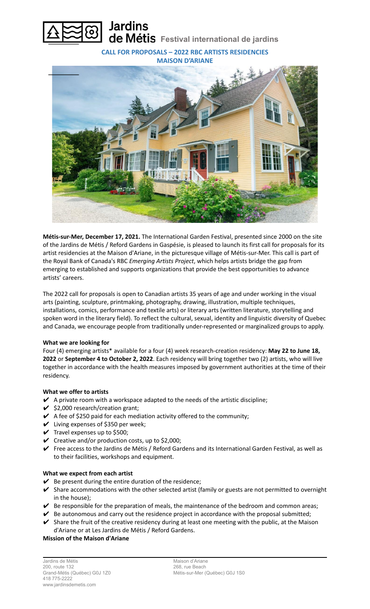

**CALL FOR PROPOSALS – 2022 RBC ARTISTS RESIDENCIES**

**MAISON D'ARIANE**



**Métis-sur-Mer, December 17, 2021.** The International Garden Festival, presented since 2000 on the site of the Jardins de Métis / Reford Gardens in Gaspésie, is pleased to launch its first call for proposals for its artist residencies at the Maison d'Ariane, in the picturesque village of Métis-sur-Mer. This call is part of the Royal Bank of Canada's RBC *Emerging Artists Project*, which helps artists bridge the gap from emerging to established and supports organizations that provide the best opportunities to advance artists' careers.

The 2022 call for proposals is open to Canadian artists 35 years of age and under working in the visual arts (painting, sculpture, printmaking, photography, drawing, illustration, multiple techniques, installations, comics, performance and textile arts) or literary arts (written literature, storytelling and spoken word in the literary field). To reflect the cultural, sexual, identity and linguistic diversity of Quebec and Canada, we encourage people from traditionally under-represented or marginalized groups to apply.

## **What we are looking for**

Four (4) emerging artists\* available for a four (4) week research-creation residency: **May 22 to June 18, 2022** or **September 4 to October 2, 2022**. Each residency will bring together two (2) artists, who will live together in accordance with the health measures imposed by government authorities at the time of their residency.

# **What we offer to artists**

- $\blacktriangleright$  A private room with a workspace adapted to the needs of the artistic discipline;
- $\checkmark$  \$2,000 research/creation grant;
- $\blacktriangleright$  A fee of \$250 paid for each mediation activity offered to the community;
- $\vee$  Living expenses of \$350 per week;
- $\checkmark$  Travel expenses up to \$500;
- $\checkmark$  Creative and/or production costs, up to \$2,000;
- ✔ Free access to the Jardins de Métis / Reford Gardens and its International Garden Festival, as well as to their facilities, workshops and equipment.

## **What we expect from each artist**

- $\vee$  Be present during the entire duration of the residence;
- $\triangleright$  Share accommodations with the other selected artist (family or guests are not permitted to overnight in the house);
- $\blacktriangleright$  Be responsible for the preparation of meals, the maintenance of the bedroom and common areas;
- $\blacktriangleright$  Be autonomous and carry out the residence project in accordance with the proposal submitted;
- $\checkmark$  Share the fruit of the creative residency during at least one meeting with the public, at the Maison d'Ariane or at Les Jardins de Métis / Reford Gardens.

## **Mission of the Maison d'Ariane**